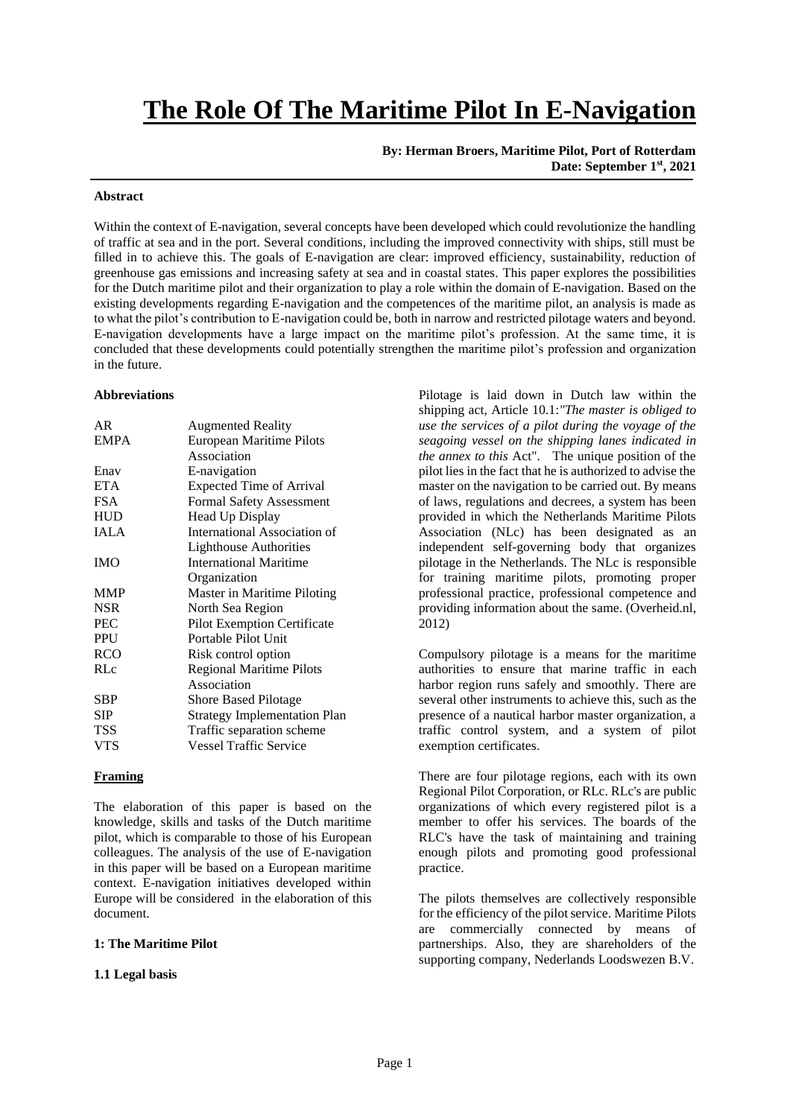# **The Role Of The Maritime Pilot In E-Navigation**

**By: Herman Broers, Maritime Pilot, Port of Rotterdam Date: September 1 st , 2021**

#### **Abstract**

Within the context of E-navigation, several concepts have been developed which could revolutionize the handling of traffic at sea and in the port. Several conditions, including the improved connectivity with ships, still must be filled in to achieve this. The goals of E-navigation are clear: improved efficiency, sustainability, reduction of greenhouse gas emissions and increasing safety at sea and in coastal states. This paper explores the possibilities for the Dutch maritime pilot and their organization to play a role within the domain of E-navigation. Based on the existing developments regarding E-navigation and the competences of the maritime pilot, an analysis is made as to what the pilot's contribution to E-navigation could be, both in narrow and restricted pilotage waters and beyond. E-navigation developments have a large impact on the maritime pilot's profession. At the same time, it is concluded that these developments could potentially strengthen the maritime pilot's profession and organization in the future.

#### **Abbreviations**

| AR.         | <b>Augmented Reality</b>            |
|-------------|-------------------------------------|
| <b>EMPA</b> | European Maritime Pilots            |
|             | Association                         |
| Enav        | E-navigation                        |
| <b>ETA</b>  | <b>Expected Time of Arrival</b>     |
| <b>FSA</b>  | <b>Formal Safety Assessment</b>     |
| <b>HUD</b>  | Head Up Display                     |
| IALA        | International Association of        |
|             | <b>Lighthouse Authorities</b>       |
| <b>IMO</b>  | <b>International Maritime</b>       |
|             | Organization                        |
| <b>MMP</b>  | Master in Maritime Piloting         |
| <b>NSR</b>  | North Sea Region                    |
| <b>PEC</b>  | <b>Pilot Exemption Certificate</b>  |
| <b>PPU</b>  | Portable Pilot Unit                 |
| <b>RCO</b>  | Risk control option                 |
| RLc         | <b>Regional Maritime Pilots</b>     |
|             | Association                         |
| <b>SBP</b>  | <b>Shore Based Pilotage</b>         |
| SIP         | <b>Strategy Implementation Plan</b> |
| <b>TSS</b>  | Traffic separation scheme           |
| <b>VTS</b>  | <b>Vessel Traffic Service</b>       |

#### **Framing**

The elaboration of this paper is based on the knowledge, skills and tasks of the Dutch maritime pilot, which is comparable to those of his European colleagues. The analysis of the use of E-navigation in this paper will be based on a European maritime context. E-navigation initiatives developed within Europe will be considered in the elaboration of this document.

#### **1: The Maritime Pilot**

#### **1.1 Legal basis**

Pilotage is laid down in Dutch law within the shipping act, Article 10.1:*"The master is obliged to use the services of a pilot during the voyage of the seagoing vessel on the shipping lanes indicated in the annex to this* Act". The unique position of the pilot lies in the fact that he is authorized to advise the master on the navigation to be carried out. By means of laws, regulations and decrees, a system has been provided in which the Netherlands Maritime Pilots Association (NLc) has been designated as an independent self-governing body that organizes pilotage in the Netherlands. The NLc is responsible for training maritime pilots, promoting proper professional practice, professional competence and providing information about the same. (Overheid.nl, 2012)

Compulsory pilotage is a means for the maritime authorities to ensure that marine traffic in each harbor region runs safely and smoothly. There are several other instruments to achieve this, such as the presence of a nautical harbor master organization, a traffic control system, and a system of pilot exemption certificates.

There are four pilotage regions, each with its own Regional Pilot Corporation, or RLc. RLc's are public organizations of which every registered pilot is a member to offer his services. The boards of the RLC's have the task of maintaining and training enough pilots and promoting good professional practice.

The pilots themselves are collectively responsible for the efficiency of the pilot service. Maritime Pilots are commercially connected by means of partnerships. Also, they are shareholders of the supporting company, Nederlands Loodswezen B.V.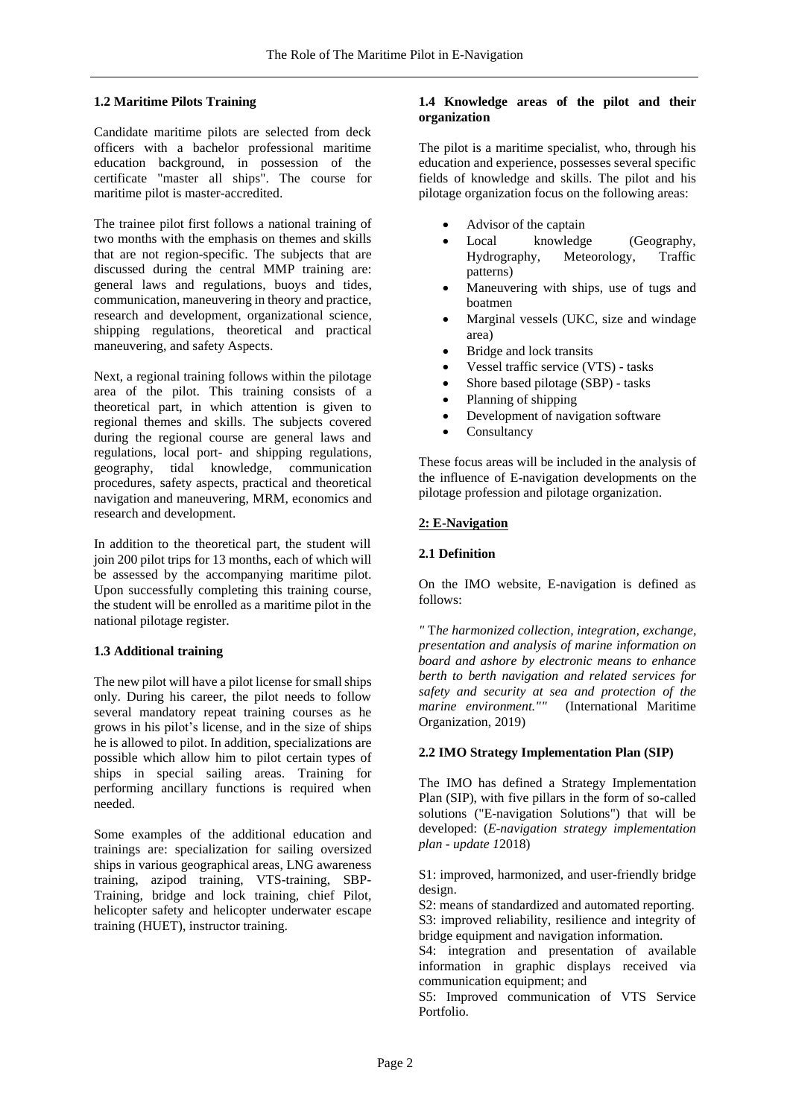## **1.2 Maritime Pilots Training**

Candidate maritime pilots are selected from deck officers with a bachelor professional maritime education background, in possession of the certificate "master all ships". The course for maritime pilot is master-accredited.

The trainee pilot first follows a national training of two months with the emphasis on themes and skills that are not region-specific. The subjects that are discussed during the central MMP training are: general laws and regulations, buoys and tides, communication, maneuvering in theory and practice, research and development, organizational science, shipping regulations, theoretical and practical maneuvering, and safety Aspects.

Next, a regional training follows within the pilotage area of the pilot. This training consists of a theoretical part, in which attention is given to regional themes and skills. The subjects covered during the regional course are general laws and regulations, local port- and shipping regulations, geography, tidal knowledge, communication procedures, safety aspects, practical and theoretical navigation and maneuvering, MRM, economics and research and development.

In addition to the theoretical part, the student will join 200 pilot trips for 13 months, each of which will be assessed by the accompanying maritime pilot. Upon successfully completing this training course, the student will be enrolled as a maritime pilot in the national pilotage register.

# **1.3 Additional training**

The new pilot will have a pilot license for small ships only. During his career, the pilot needs to follow several mandatory repeat training courses as he grows in his pilot's license, and in the size of ships he is allowed to pilot. In addition, specializations are possible which allow him to pilot certain types of ships in special sailing areas. Training for performing ancillary functions is required when needed.

Some examples of the additional education and trainings are: specialization for sailing oversized ships in various geographical areas, LNG awareness training, azipod training, VTS-training, SBP-Training, bridge and lock training, chief Pilot, helicopter safety and helicopter underwater escape training (HUET), instructor training.

#### **1.4 Knowledge areas of the pilot and their organization**

The pilot is a maritime specialist, who, through his education and experience, possesses several specific fields of knowledge and skills. The pilot and his pilotage organization focus on the following areas:

- Advisor of the captain
- Local knowledge (Geography, Hydrography, Meteorology, Traffic patterns)
- Maneuvering with ships, use of tugs and boatmen
- Marginal vessels (UKC, size and windage area)
- Bridge and lock transits
- Vessel traffic service (VTS) tasks
- Shore based pilotage (SBP) tasks
- Planning of shipping
- Development of navigation software
- Consultancy

These focus areas will be included in the analysis of the influence of E-navigation developments on the pilotage profession and pilotage organization.

## **2: E-Navigation**

#### **2.1 Definition**

On the IMO website, E-navigation is defined as follows:

*"* T*he harmonized collection, integration, exchange, presentation and analysis of marine information on board and ashore by electronic means to enhance berth to berth navigation and related services for safety and security at sea and protection of the marine environment.""* (International Maritime Organization, 2019)

## **2.2 IMO Strategy Implementation Plan (SIP)**

The IMO has defined a Strategy Implementation Plan (SIP), with five pillars in the form of so-called solutions ("E-navigation Solutions") that will be developed: (*E-navigation strategy implementation plan - update 1*2018)

S1: improved, harmonized, and user-friendly bridge design.

S2: means of standardized and automated reporting. S3: improved reliability, resilience and integrity of bridge equipment and navigation information.

S4: integration and presentation of available information in graphic displays received via communication equipment; and

S5: Improved communication of VTS Service Portfolio.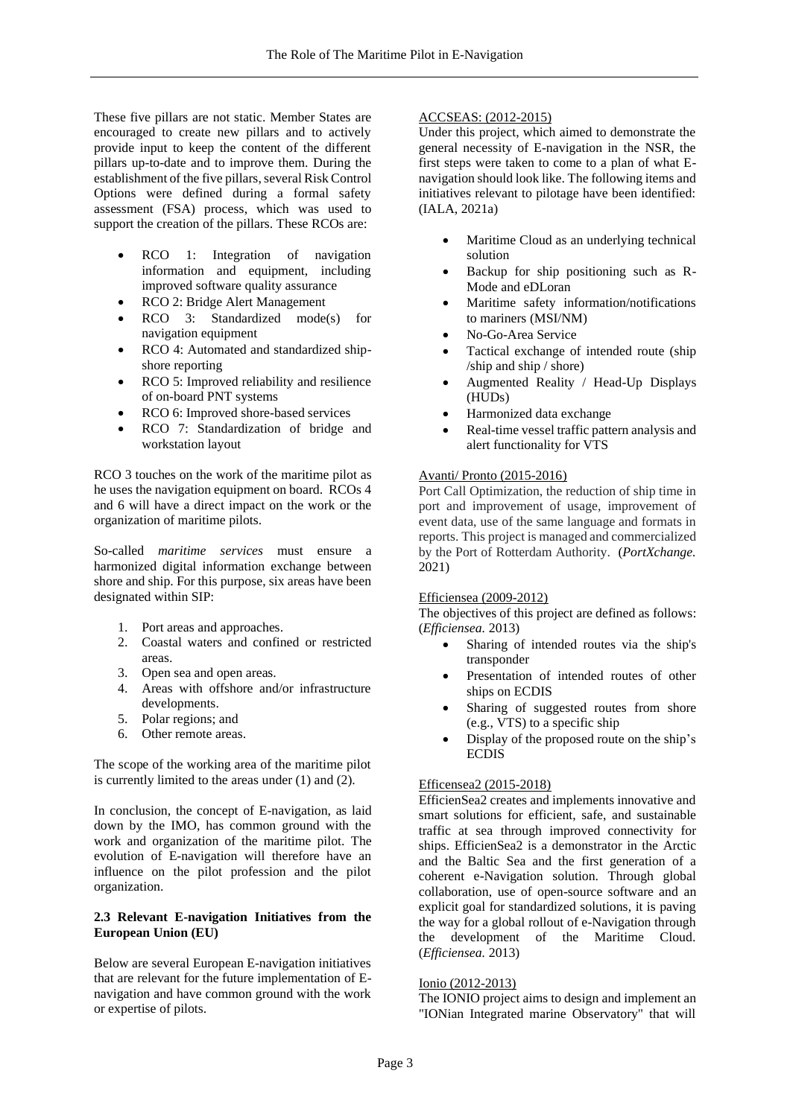These five pillars are not static. Member States are encouraged to create new pillars and to actively provide input to keep the content of the different pillars up-to-date and to improve them. During the establishment of the five pillars, several Risk Control Options were defined during a formal safety assessment (FSA) process, which was used to support the creation of the pillars. These RCOs are:

- RCO 1: Integration of navigation information and equipment, including improved software quality assurance
- RCO 2: Bridge Alert Management
- RCO 3: Standardized mode(s) for navigation equipment
- RCO 4: Automated and standardized shipshore reporting
- RCO 5: Improved reliability and resilience of on-board PNT systems
- RCO 6: Improved shore-based services
- RCO 7: Standardization of bridge and workstation layout

RCO 3 touches on the work of the maritime pilot as he uses the navigation equipment on board. RCOs 4 and 6 will have a direct impact on the work or the organization of maritime pilots.

So-called *maritime services* must ensure a harmonized digital information exchange between shore and ship. For this purpose, six areas have been designated within SIP:

- 1. Port areas and approaches.
- 2. Coastal waters and confined or restricted areas.
- 3. Open sea and open areas.
- 4. Areas with offshore and/or infrastructure developments.
- 5. Polar regions; and
- 6. Other remote areas.

The scope of the working area of the maritime pilot is currently limited to the areas under (1) and (2).

In conclusion, the concept of E-navigation, as laid down by the IMO, has common ground with the work and organization of the maritime pilot. The evolution of E-navigation will therefore have an influence on the pilot profession and the pilot organization.

#### **2.3 Relevant E-navigation Initiatives from the European Union (EU)**

Below are several European E-navigation initiatives that are relevant for the future implementation of Enavigation and have common ground with the work or expertise of pilots.

# ACCSEAS: (2012-2015)

Under this project, which aimed to demonstrate the general necessity of E-navigation in the NSR, the first steps were taken to come to a plan of what Enavigation should look like. The following items and initiatives relevant to pilotage have been identified: (IALA, 2021a)

- Maritime Cloud as an underlying technical solution
- Backup for ship positioning such as R-Mode and eDLoran
- Maritime safety information/notifications to mariners (MSI/NM)
- No-Go-Area Service
- Tactical exchange of intended route (ship /ship and ship / shore)
- Augmented Reality / Head-Up Displays (HUDs)
- Harmonized data exchange
- Real-time vessel traffic pattern analysis and alert functionality for VTS

## Avanti/ Pronto (2015-2016)

Port Call Optimization, the reduction of ship time in port and improvement of usage, improvement of event data, use of the same language and formats in reports. This project is managed and commercialized by the Port of Rotterdam Authority. (*PortXchange.*  2021)

#### Efficiensea (2009-2012)

The objectives of this project are defined as follows: (*Efficiensea.* 2013)

- Sharing of intended routes via the ship's transponder
- Presentation of intended routes of other ships on ECDIS
- Sharing of suggested routes from shore (e.g., VTS) to a specific ship
- Display of the proposed route on the ship's **ECDIS**

## Efficensea2 (2015-2018)

EfficienSea2 creates and implements innovative and smart solutions for efficient, safe, and sustainable traffic at sea through improved connectivity for ships. EfficienSea2 is a demonstrator in the Arctic and the Baltic Sea and the first generation of a coherent e-Navigation solution. Through global collaboration, use of open-source software and an explicit goal for standardized solutions, it is paving the way for a global rollout of e-Navigation through the development of the Maritime Cloud. (*Efficiensea.* 2013)

## Ionio (2012-2013)

The IONIO project aims to design and implement an "IONian Integrated marine Observatory" that will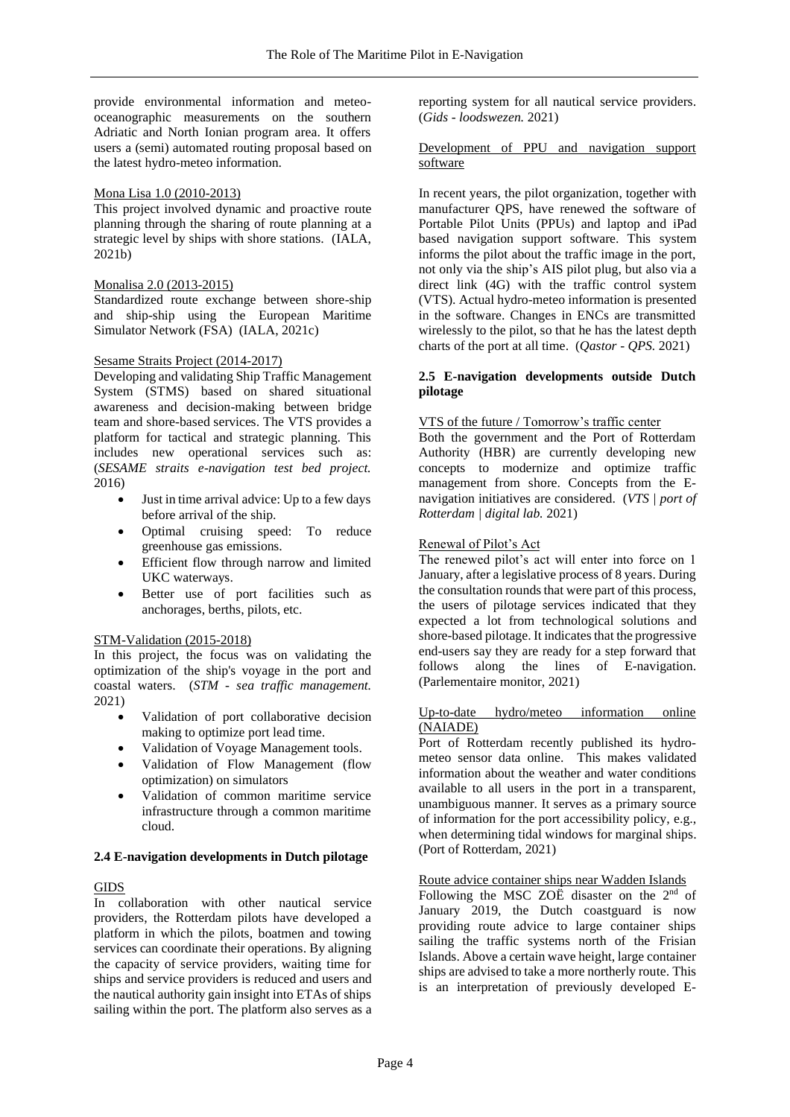provide environmental information and meteooceanographic measurements on the southern Adriatic and North Ionian program area. It offers users a (semi) automated routing proposal based on the latest hydro-meteo information.

#### Mona Lisa 1.0 (2010-2013)

This project involved dynamic and proactive route planning through the sharing of route planning at a strategic level by ships with shore stations. (IALA, 2021b)

## Monalisa 2.0 (2013-2015)

Standardized route exchange between shore-ship and ship-ship using the European Maritime Simulator Network (FSA) (IALA, 2021c)

#### Sesame Straits Project (2014-2017)

Developing and validating Ship Traffic Management System (STMS) based on shared situational awareness and decision-making between bridge team and shore-based services. The VTS provides a platform for tactical and strategic planning. This includes new operational services such as: (*SESAME straits e-navigation test bed project.*  2016)

- Just in time arrival advice: Up to a few days before arrival of the ship.
- Optimal cruising speed: To reduce greenhouse gas emissions.
- Efficient flow through narrow and limited UKC waterways.
- Better use of port facilities such as anchorages, berths, pilots, etc.

#### STM-Validation (2015-2018)

In this project, the focus was on validating the optimization of the ship's voyage in the port and coastal waters. (*STM - sea traffic management.*  2021)

- Validation of port collaborative decision making to optimize port lead time.
- Validation of Voyage Management tools.
- Validation of Flow Management (flow optimization) on simulators
- Validation of common maritime service infrastructure through a common maritime cloud.

## **2.4 E-navigation developments in Dutch pilotage**

## GIDS

In collaboration with other nautical service providers, the Rotterdam pilots have developed a platform in which the pilots, boatmen and towing services can coordinate their operations. By aligning the capacity of service providers, waiting time for ships and service providers is reduced and users and the nautical authority gain insight into ETAs of ships sailing within the port. The platform also serves as a

reporting system for all nautical service providers. (*Gids - loodswezen.* 2021)

#### Development of PPU and navigation support software

In recent years, the pilot organization, together with manufacturer QPS, have renewed the software of Portable Pilot Units (PPUs) and laptop and iPad based navigation support software. This system informs the pilot about the traffic image in the port, not only via the ship's AIS pilot plug, but also via a direct link (4G) with the traffic control system (VTS). Actual hydro-meteo information is presented in the software. Changes in ENCs are transmitted wirelessly to the pilot, so that he has the latest depth charts of the port at all time. (*Qastor - QPS.* 2021)

## **2.5 E-navigation developments outside Dutch pilotage**

#### VTS of the future / Tomorrow's traffic center

Both the government and the Port of Rotterdam Authority (HBR) are currently developing new concepts to modernize and optimize traffic management from shore. Concepts from the Enavigation initiatives are considered. (*VTS | port of Rotterdam | digital lab.* 2021)

## Renewal of Pilot's Act

The renewed pilot's act will enter into force on 1 January, after a legislative process of 8 years. During the consultation rounds that were part of this process, the users of pilotage services indicated that they expected a lot from technological solutions and shore-based pilotage. It indicates that the progressive end-users say they are ready for a step forward that follows along the lines of E-navigation. (Parlementaire monitor, 2021)

#### Up-to-date hydro/meteo information online (NAIADE)

Port of Rotterdam recently published its hydrometeo sensor data online. This makes validated information about the weather and water conditions available to all users in the port in a transparent, unambiguous manner. It serves as a primary source of information for the port accessibility policy, e.g., when determining tidal windows for marginal ships. (Port of Rotterdam, 2021)

## Route advice container ships near Wadden Islands

Following the MSC ZOË disaster on the  $2<sup>nd</sup>$  of January 2019, the Dutch coastguard is now providing route advice to large container ships sailing the traffic systems north of the Frisian Islands. Above a certain wave height, large container ships are advised to take a more northerly route. This is an interpretation of previously developed E-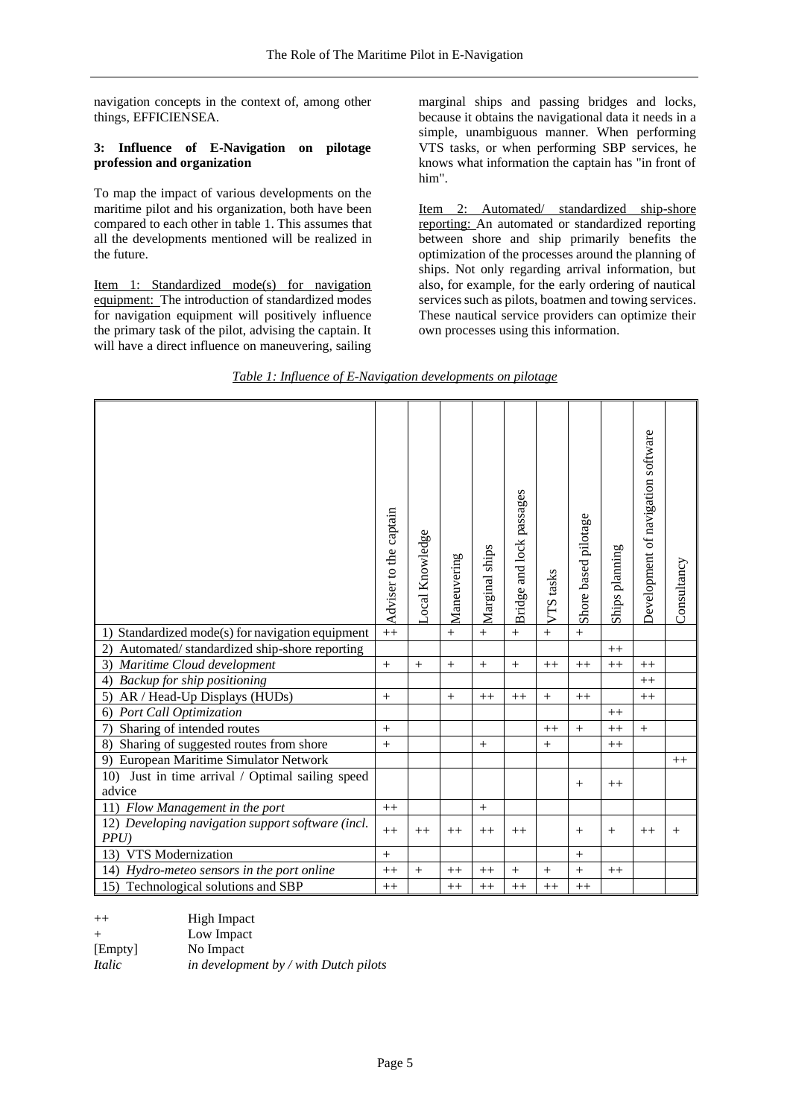navigation concepts in the context of, among other things, EFFICIENSEA.

## **3: Influence of E-Navigation on pilotage profession and organization**

To map the impact of various developments on the maritime pilot and his organization, both have been compared to each other in table 1. This assumes that all the developments mentioned will be realized in the future.

Item 1: Standardized mode(s) for navigation equipment: The introduction of standardized modes for navigation equipment will positively influence the primary task of the pilot, advising the captain. It will have a direct influence on maneuvering, sailing

marginal ships and passing bridges and locks, because it obtains the navigational data it needs in a simple, unambiguous manner. When performing VTS tasks, or when performing SBP services, he knows what information the captain has "in front of him".

Item 2: Automated/ standardized ship-shore reporting: An automated or standardized reporting between shore and ship primarily benefits the optimization of the processes around the planning of ships. Not only regarding arrival information, but also, for example, for the early ordering of nautical services such as pilots, boatmen and towing services. These nautical service providers can optimize their own processes using this information.

# *Table 1: Influence of E-Navigation developments on pilotage*

|                                                               | Adviser to the captain | Local Knowledge | Maneuvering      | Marginal ships   | Bridge and lock passages | VTS tasks | Shore based pilotage | Ships planning | Development of navigation software | Consultancy |
|---------------------------------------------------------------|------------------------|-----------------|------------------|------------------|--------------------------|-----------|----------------------|----------------|------------------------------------|-------------|
| Standardized mode(s) for navigation equipment<br>1)           |                        |                 | $^{+}$           | $^{+}$           | $+$                      | $\ddot{}$ | $\ddot{}$            |                |                                    |             |
| Automated/standardized ship-shore reporting<br>(2)            |                        |                 |                  |                  |                          |           |                      | $++$           |                                    |             |
| Maritime Cloud development<br>3)                              |                        | $+$             | $\boldsymbol{+}$ | $\boldsymbol{+}$ |                          | $^{++}$   | $++$                 | $++$           | $++$                               |             |
| Backup for ship positioning<br>$\left(4\right)$               |                        |                 |                  |                  |                          |           |                      |                | $++$                               |             |
| AR / Head-Up Displays (HUDs)<br>5)                            |                        |                 | $\ddot{}$        | $^{++}$          | $++$                     | $\ddot{}$ | $^{++}$              |                | $++$                               |             |
| Port Call Optimization<br>6)                                  |                        |                 |                  |                  |                          |           |                      | $++$           |                                    |             |
| Sharing of intended routes<br>7)                              |                        |                 |                  |                  |                          | $++$      | $+$                  | $++$           | $^{+}$                             |             |
| Sharing of suggested routes from shore<br>8)                  |                        |                 |                  | $^{+}$           |                          | $^{+}$    |                      | $++$           |                                    |             |
| 9) European Maritime Simulator Network                        |                        |                 |                  |                  |                          |           |                      |                |                                    | $++$        |
| Just in time arrival / Optimal sailing speed<br>10)<br>advice |                        |                 |                  |                  |                          |           | $+$                  | $++$           |                                    |             |
| 11) Flow Management in the port                               | $++$                   |                 |                  | $+$              |                          |           |                      |                |                                    |             |
| 12) Developing navigation support software (incl.<br>PPU      |                        | $++$            | $++$             | $++$             | $++$                     |           | $+$                  | $^{+}$         | $^{++}$                            | $^{+}$      |
| VTS Modernization<br>13)                                      |                        |                 |                  |                  |                          |           | $^{+}$               |                |                                    |             |
| 14) Hydro-meteo sensors in the port online                    |                        | $+$             | $++$             | $++$             | $\ddot{}$                | $^{+}$    | $\ddot{}$            | $++$           |                                    |             |
| 15) Technological solutions and SBP                           |                        |                 | $^{++}$          | $^{++}$          | $++$                     | $^{++}$   | $^{++}$              |                |                                    |             |

| $++$    | High Impact                           |
|---------|---------------------------------------|
| $^{+}$  | Low Impact                            |
| [Empty] | No Impact                             |
| Italic  | in development by / with Dutch pilots |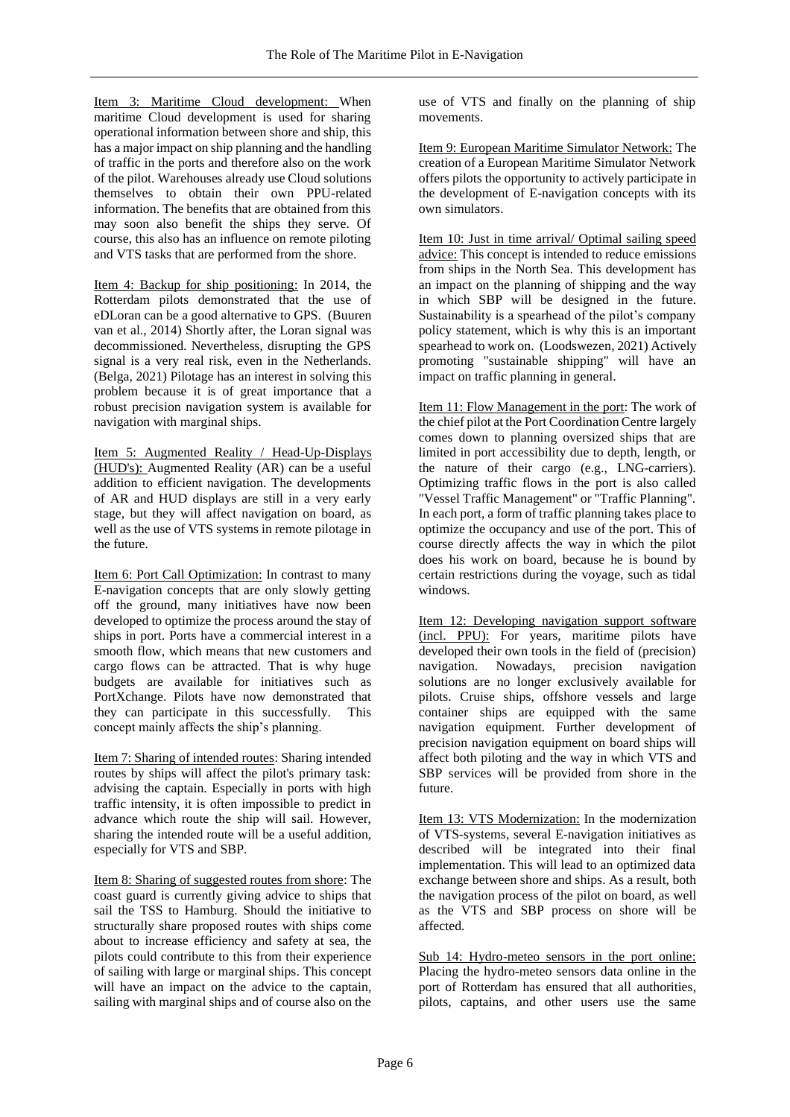Item 3: Maritime Cloud development: When maritime Cloud development is used for sharing operational information between shore and ship, this has a major impact on ship planning and the handling of traffic in the ports and therefore also on the work of the pilot. Warehouses already use Cloud solutions themselves to obtain their own PPU-related information. The benefits that are obtained from this may soon also benefit the ships they serve. Of course, this also has an influence on remote piloting and VTS tasks that are performed from the shore.

Item 4: Backup for ship positioning: In 2014, the Rotterdam pilots demonstrated that the use of eDLoran can be a good alternative to GPS. (Buuren van et al., 2014) Shortly after, the Loran signal was decommissioned. Nevertheless, disrupting the GPS signal is a very real risk, even in the Netherlands. (Belga, 2021) Pilotage has an interest in solving this problem because it is of great importance that a robust precision navigation system is available for navigation with marginal ships.

Item 5: Augmented Reality / Head-Up-Displays (HUD's): Augmented Reality (AR) can be a useful addition to efficient navigation. The developments of AR and HUD displays are still in a very early stage, but they will affect navigation on board, as well as the use of VTS systems in remote pilotage in the future.

Item 6: Port Call Optimization: In contrast to many E-navigation concepts that are only slowly getting off the ground, many initiatives have now been developed to optimize the process around the stay of ships in port. Ports have a commercial interest in a smooth flow, which means that new customers and cargo flows can be attracted. That is why huge budgets are available for initiatives such as PortXchange. Pilots have now demonstrated that they can participate in this successfully. This concept mainly affects the ship's planning.

Item 7: Sharing of intended routes: Sharing intended routes by ships will affect the pilot's primary task: advising the captain. Especially in ports with high traffic intensity, it is often impossible to predict in advance which route the ship will sail. However, sharing the intended route will be a useful addition, especially for VTS and SBP.

Item 8: Sharing of suggested routes from shore: The coast guard is currently giving advice to ships that sail the TSS to Hamburg. Should the initiative to structurally share proposed routes with ships come about to increase efficiency and safety at sea, the pilots could contribute to this from their experience of sailing with large or marginal ships. This concept will have an impact on the advice to the captain, sailing with marginal ships and of course also on the

use of VTS and finally on the planning of ship movements.

Item 9: European Maritime Simulator Network: The creation of a European Maritime Simulator Network offers pilots the opportunity to actively participate in the development of E-navigation concepts with its own simulators.

Item 10: Just in time arrival/ Optimal sailing speed advice: This concept is intended to reduce emissions from ships in the North Sea. This development has an impact on the planning of shipping and the way in which SBP will be designed in the future. Sustainability is a spearhead of the pilot's company policy statement, which is why this is an important spearhead to work on. (Loodswezen, 2021) Actively promoting "sustainable shipping" will have an impact on traffic planning in general.

Item 11: Flow Management in the port: The work of the chief pilot at the Port Coordination Centre largely comes down to planning oversized ships that are limited in port accessibility due to depth, length, or the nature of their cargo (e.g., LNG-carriers). Optimizing traffic flows in the port is also called "Vessel Traffic Management" or "Traffic Planning". In each port, a form of traffic planning takes place to optimize the occupancy and use of the port. This of course directly affects the way in which the pilot does his work on board, because he is bound by certain restrictions during the voyage, such as tidal windows.

Item 12: Developing navigation support software (incl. PPU): For years, maritime pilots have developed their own tools in the field of (precision) navigation. Nowadays, precision navigation solutions are no longer exclusively available for pilots. Cruise ships, offshore vessels and large container ships are equipped with the same navigation equipment. Further development of precision navigation equipment on board ships will affect both piloting and the way in which VTS and SBP services will be provided from shore in the future.

Item 13: VTS Modernization: In the modernization of VTS-systems, several E-navigation initiatives as described will be integrated into their final implementation. This will lead to an optimized data exchange between shore and ships. As a result, both the navigation process of the pilot on board, as well as the VTS and SBP process on shore will be affected.

Sub 14: Hydro-meteo sensors in the port online: Placing the hydro-meteo sensors data online in the port of Rotterdam has ensured that all authorities, pilots, captains, and other users use the same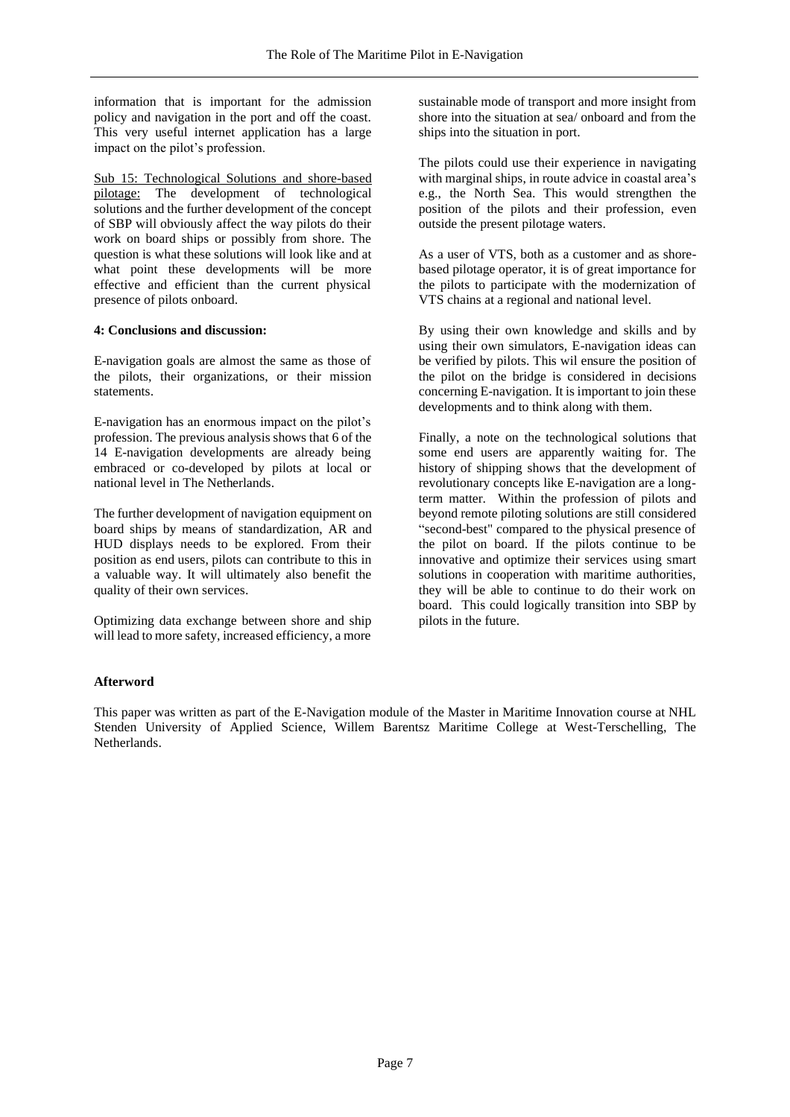information that is important for the admission policy and navigation in the port and off the coast. This very useful internet application has a large impact on the pilot's profession.

Sub 15: Technological Solutions and shore-based pilotage: The development of technological solutions and the further development of the concept of SBP will obviously affect the way pilots do their work on board ships or possibly from shore. The question is what these solutions will look like and at what point these developments will be more effective and efficient than the current physical presence of pilots onboard.

## **4: Conclusions and discussion:**

E-navigation goals are almost the same as those of the pilots, their organizations, or their mission statements.

E-navigation has an enormous impact on the pilot's profession. The previous analysis shows that 6 of the 14 E-navigation developments are already being embraced or co-developed by pilots at local or national level in The Netherlands.

The further development of navigation equipment on board ships by means of standardization, AR and HUD displays needs to be explored. From their position as end users, pilots can contribute to this in a valuable way. It will ultimately also benefit the quality of their own services.

Optimizing data exchange between shore and ship will lead to more safety, increased efficiency, a more

sustainable mode of transport and more insight from shore into the situation at sea/ onboard and from the ships into the situation in port.

The pilots could use their experience in navigating with marginal ships, in route advice in coastal area's e.g., the North Sea. This would strengthen the position of the pilots and their profession, even outside the present pilotage waters.

As a user of VTS, both as a customer and as shorebased pilotage operator, it is of great importance for the pilots to participate with the modernization of VTS chains at a regional and national level.

By using their own knowledge and skills and by using their own simulators, E-navigation ideas can be verified by pilots. This wil ensure the position of the pilot on the bridge is considered in decisions concerning E-navigation. It is important to join these developments and to think along with them.

Finally, a note on the technological solutions that some end users are apparently waiting for. The history of shipping shows that the development of revolutionary concepts like E-navigation are a longterm matter. Within the profession of pilots and beyond remote piloting solutions are still considered "second-best" compared to the physical presence of the pilot on board. If the pilots continue to be innovative and optimize their services using smart solutions in cooperation with maritime authorities, they will be able to continue to do their work on board. This could logically transition into SBP by pilots in the future.

# **Afterword**

This paper was written as part of the E-Navigation module of the Master in Maritime Innovation course at NHL Stenden University of Applied Science, Willem Barentsz Maritime College at West-Terschelling, The Netherlands.